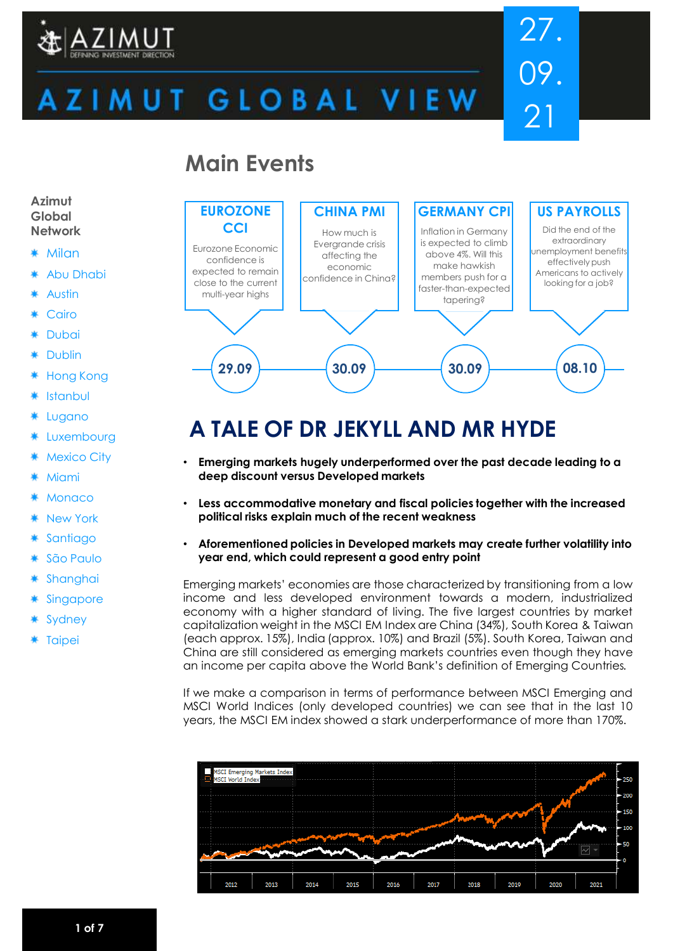

# 27. 09. 21

# ZIMUT GLOBAL VIEW

## **Main Events**



# **A TALE OF DR JEKYLL AND MR HYDE**

- **Emerging markets hugely underperformed over the past decade leading to a deep discount versus Developed markets**
- **Less accommodative monetary and fiscal policies together with the increased political risks explain much of the recent weakness**
- **Aforementioned policies in Developed markets may create further volatility into year end, which could represent a good entry point**

Emerging markets' economies are those characterized by transitioning from a low income and less developed environment towards a modern, industrialized economy with a higher standard of living. The five largest countries by market capitalization weight in the MSCI EM Index are China (34%), South Korea & Taiwan (each approx. 15%), India (approx. 10%) and Brazil (5%). South Korea, Taiwan and China are still considered as emerging markets countries even though they have an income per capita above the World Bank's definition of Emerging Countries.

If we make a comparison in terms of performance between MSCI Emerging and MSCI World Indices (only developed countries) we can see that in the last 10 years, the MSCI EM index showed a stark underperformance of more than 170%.



#### **Azimut Global Network**

- Milan
- Abu Dhabi
- Austin
- Cairo
- Dubai
- Dublin
- Hong Kong
- Istanbul
- Lugano
- Luxembourg
- Mexico City
- Miami
- **Monaco**
- New York
- **Santiago**
- São Paulo
- Shanghai
- **Singapore**
- Sydney
- **Taipei**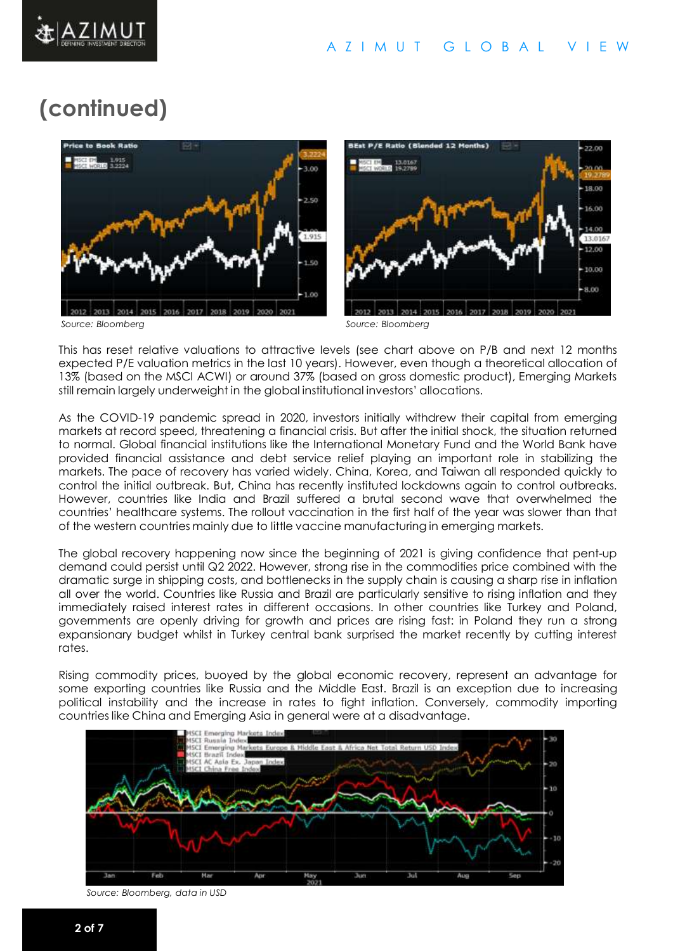

# **(continued)**



This has reset relative valuations to attractive levels (see chart above on P/B and next 12 months expected P/E valuation metrics in the last 10 years). However, even though a theoretical allocation of 13% (based on the MSCI ACWI) or around 37% (based on gross domestic product), Emerging Markets still remain largely underweight in the global institutional investors' allocations.

As the COVID-19 pandemic spread in 2020, investors initially withdrew their capital from emerging markets at record speed, threatening a financial crisis. But after the initial shock, the situation returned to normal. Global financial institutions like the International Monetary Fund and the World Bank have provided financial assistance and debt service relief playing an important role in stabilizing the markets. The pace of recovery has varied widely. China, Korea, and Taiwan all responded quickly to control the initial outbreak. But, China has recently instituted lockdowns again to control outbreaks. However, countries like India and Brazil suffered a brutal second wave that overwhelmed the countries' healthcare systems. The rollout vaccination in the first half of the year was slower than that of the western countries mainly due to little vaccine manufacturing in emerging markets.

The global recovery happening now since the beginning of 2021 is giving confidence that pent-up demand could persist until Q2 2022. However, strong rise in the commodities price combined with the dramatic surge in shipping costs, and bottlenecks in the supply chain is causing a sharp rise in inflation all over the world. Countries like Russia and Brazil are particularly sensitive to rising inflation and they immediately raised interest rates in different occasions. In other countries like Turkey and Poland, governments are openly driving for growth and prices are rising fast: in Poland they run a strong expansionary budget whilst in Turkey central bank surprised the market recently by cutting interest rates.

Rising commodity prices, buoyed by the global economic recovery, represent an advantage for some exporting countries like Russia and the Middle East. Brazil is an exception due to increasing political instability and the increase in rates to fight inflation. Conversely, commodity importing countries like China and Emerging Asia in general were at a disadvantage.



*Source: Bloomberg, data in USD*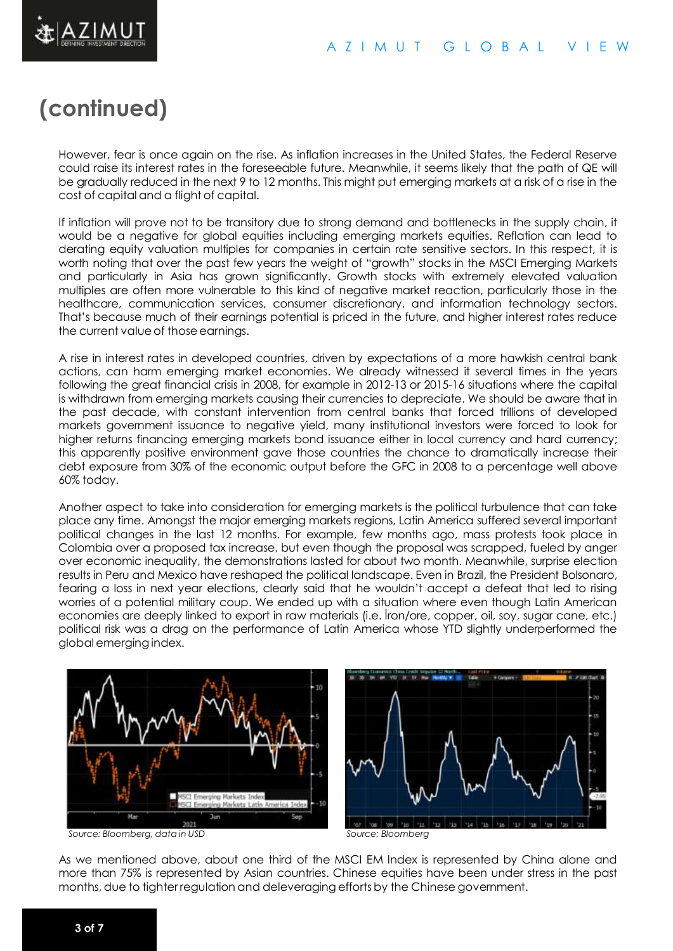

# **(continued)**

However, fear is once again on the rise. As inflation increases in the United States, the Federal Reserve could raise its interest rates in the foreseeable future. Meanwhile, it seems likely that the path of QE will be gradually reduced in the next 9 to 12 months. This might put emerging markets at a risk of a rise in the cost of capital and a flight of capital.

If inflation will prove not to be transitory due to strong demand and bottlenecks in the supply chain, it would be a negative for global equities including emerging markets equities. Reflation can lead to derating equity valuation multiples for companies in certain rate sensitive sectors. In this respect, it is worth noting that over the past few years the weight of "growth" stocks in the MSCI Emerging Markets and particularly in Asia has grown significantly. Growth stocks with extremely elevated valuation multiples are often more vulnerable to this kind of negative market reaction, particularly those in the healthcare, communication services, consumer discretionary, and information technology sectors. That's because much of their earnings potential is priced in the future, and higher interest rates reduce the current value of those earnings.

A rise in interest rates in developed countries, driven by expectations of a more hawkish central bank actions, can harm emerging market economies. We already witnessed it several times in the years following the great financial crisis in 2008, for example in 2012-13 or 2015-16 situations where the capital is withdrawn from emerging markets causing their currencies to depreciate. We should be aware that in the past decade, with constant intervention from central banks that forced trillions of developed markets government issuance to negative yield, many institutional investors were forced to look for higher returns financing emerging markets bond issuance either in local currency and hard currency; this apparently positive environment gave those countries the chance to dramatically increase their debt exposure from 30% of the economic output before the GFC in 2008 to a percentage well above 60% today.

Another aspect to take into consideration for emerging markets is the political turbulence that can take place any time. Amongst the major emerging markets regions, Latin America suffered several important political changes in the last 12 months. For example, few months ago, mass protests took place in Colombia over a proposed tax increase, but even though the proposal was scrapped, fueled by anger over economic inequality, the demonstrations lasted for about two month. Meanwhile, surprise election results in Peru and Mexico have reshaped the political landscape. Even in Brazil, the President Bolsonaro, fearing a loss in next year elections, clearly said that he wouldn't accept a defeat that led to rising worries of a potential military coup. We ended up with a situation where even though Latin American economies are deeply linked to export in raw materials (i.e. İron/ore, copper, oil, soy, sugar cane, etc.) political risk was a drag on the performance of Latin America whose YTD slightly underperformed the global emergingindex.



*Source: Bloomberg, data in USD Source: Bloomberg*

As we mentioned above, about one third of the MSCI EM Index is represented by China alone and more than 75% is represented by Asian countries. Chinese equities have been under stress in the past months, due to tighter regulation and deleveragingeffortsby the Chinese government.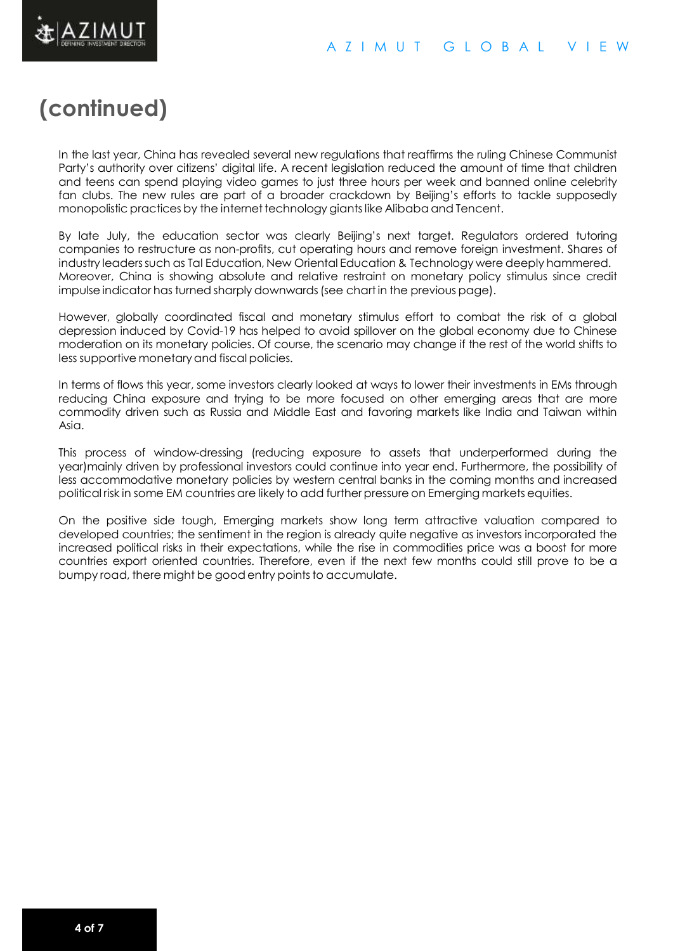

# **(continued)**

In the last year, China has revealed several new regulations that reaffirms the ruling Chinese Communist Party's authority over citizens' digital life. A recent legislation reduced the amount of time that children and teens can spend playing video games to just three hours per week and banned online celebrity fan clubs. The new rules are part of a broader crackdown by Beijing's efforts to tackle supposedly monopolistic practices by the internettechnology giantslike Alibaba and Tencent.

By late July, the education sector was clearly Beijing's next target. Regulators ordered tutoring companies to restructure as non-profits, cut operating hours and remove foreign investment. Shares of industry leaderssuch as Tal Education, New Oriental Education & Technology were deeply hammered. Moreover, China is showing absolute and relative restraint on monetary policy stimulus since credit impulse indicator has turned sharply downwards(see chartin the previous page).

However, globally coordinated fiscal and monetary stimulus effort to combat the risk of a global depression induced by Covid-19 has helped to avoid spillover on the global economy due to Chinese moderation on its monetary policies. Of course, the scenario may change if the rest of the world shifts to less supportive monetaryand fiscal policies.

In terms of flows this year, some investors clearly looked at ways to lower their investments in EMs through reducing China exposure and trying to be more focused on other emerging areas that are more commodity driven such as Russia and Middle East and favoring markets like India and Taiwan within Asia.

This process of window-dressing (reducing exposure to assets that underperformed during the year)mainly driven by professional investors could continue into year end. Furthermore, the possibility of less accommodative monetary policies by western central banks in the coming months and increased political risk in some EM countries are likely to add further pressure on Emerging markets equities.

On the positive side tough, Emerging markets show long term attractive valuation compared to developed countries; the sentiment in the region is already quite negative as investors incorporated the increased political risks in their expectations, while the rise in commodities price was a boost for more countries export oriented countries. Therefore, even if the next few months could still prove to be a bumpy road, there might be good entry points to accumulate.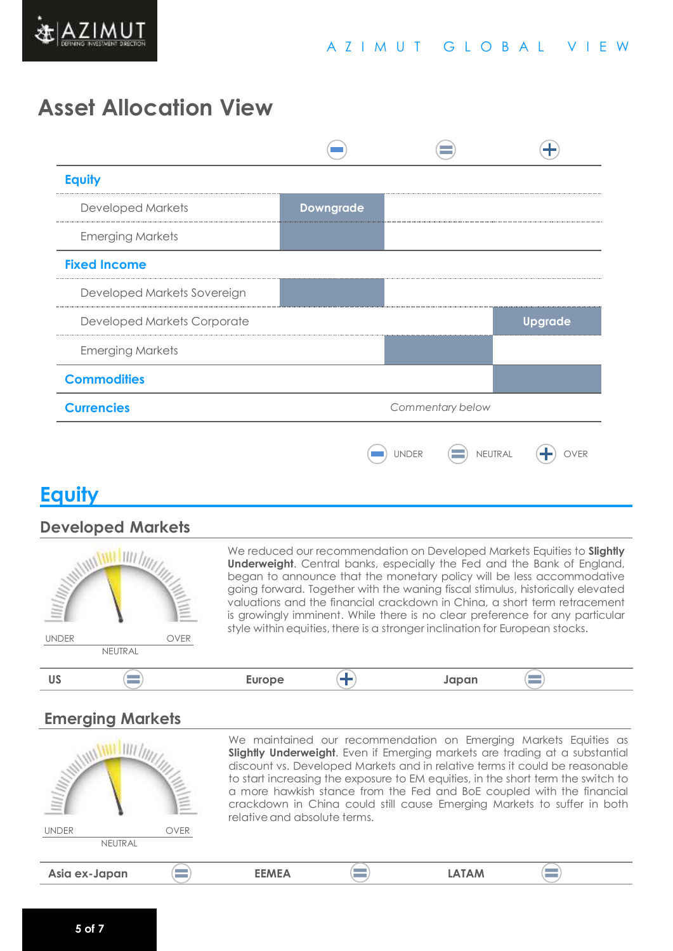

### **Asset Allocation View**



### **Equity**

#### **Developed Markets**



We reduced our recommendation on Developed Markets Equities to **Slightly Underweight**. Central banks, especially the Fed and the Bank of England, began to announce that the monetary policy will be less accommodative going forward. Together with the waning fiscal stimulus, historically elevated valuations and the financial crackdown in China, a short term retracement is growingly imminent. While there is no clear preference for any particular style within equities, there is a stronger inclination for European stocks.

#### $\equiv$ **US Europe Japan**

### **Emerging Markets**

| <b>MANIA</b>                   | We maintained our recommendation on Emerging Markets Equities as<br>Slightly Underweight. Even if Emerging markets are trading at a substantial<br>discount vs. Developed Markets and in relative terms it could be reasonable<br>to start increasing the exposure to EM equities, in the short term the switch to<br>a more hawkish stance from the Fed and BoE coupled with the financial<br>Ĕ<br>crackdown in China could still cause Emerging Markets to suffer in both<br>relative and absolute terms. |              |  |              |  |
|--------------------------------|-------------------------------------------------------------------------------------------------------------------------------------------------------------------------------------------------------------------------------------------------------------------------------------------------------------------------------------------------------------------------------------------------------------------------------------------------------------------------------------------------------------|--------------|--|--------------|--|
| <b>UNDER</b><br><b>NEUTRAL</b> | <b>OVER</b>                                                                                                                                                                                                                                                                                                                                                                                                                                                                                                 |              |  |              |  |
|                                |                                                                                                                                                                                                                                                                                                                                                                                                                                                                                                             |              |  |              |  |
| Asia ex-Japan                  |                                                                                                                                                                                                                                                                                                                                                                                                                                                                                                             | <b>EEMEA</b> |  | <b>LATAM</b> |  |
|                                |                                                                                                                                                                                                                                                                                                                                                                                                                                                                                                             |              |  |              |  |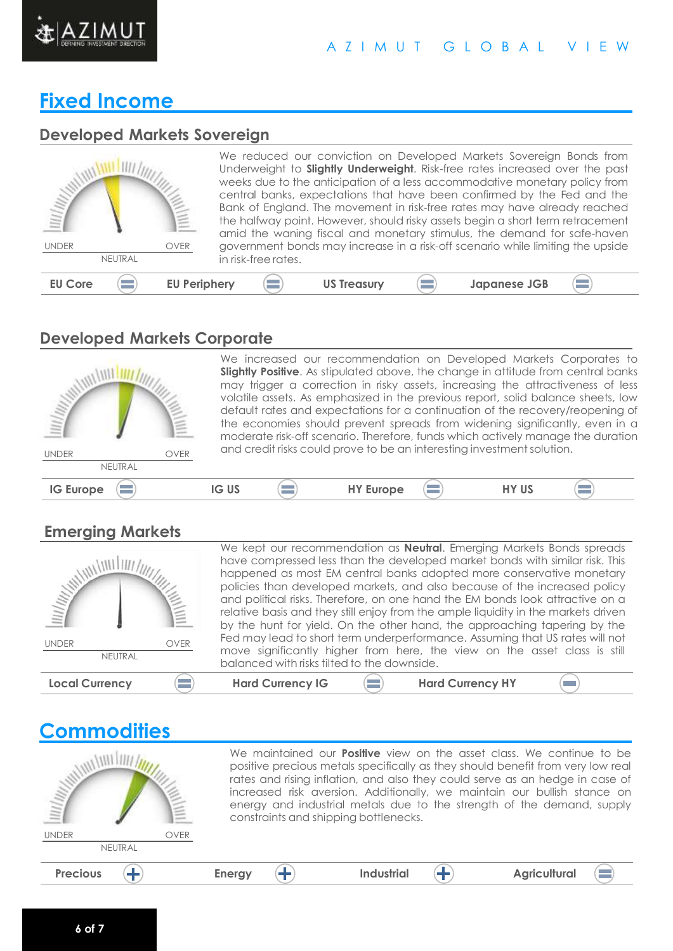

#### A Z I M U T G L O B A L V I E W

### **Fixed Income**

#### **Developed Markets Sovereign**

| <b>UNDER</b><br><b>OVER</b><br>NEUTRAL | We reduced our conviction on Developed Markets Sovereign Bonds from<br>Underweight to <b>Slightly Underweight</b> . Risk-free rates increased over the past<br>weeks due to the anticipation of a less accommodative monetary policy from<br>central banks, expectations that have been confirmed by the Fed and the<br>Bank of England. The movement in risk-free rates may have already reached<br>the halfway point. However, should risky assets begin a short term retracement<br>amid the waning fiscal and monetary stimulus, the demand for safe-haven<br>government bonds may increase in a risk-off scenario while limiting the upside<br>in risk-free rates. |
|----------------------------------------|-------------------------------------------------------------------------------------------------------------------------------------------------------------------------------------------------------------------------------------------------------------------------------------------------------------------------------------------------------------------------------------------------------------------------------------------------------------------------------------------------------------------------------------------------------------------------------------------------------------------------------------------------------------------------|
| <b>EU Periphery</b>                    | <b>US Treasury</b>                                                                                                                                                                                                                                                                                                                                                                                                                                                                                                                                                                                                                                                      |
| <b>EU Core</b>                         | <b>Japanese JGB</b>                                                                                                                                                                                                                                                                                                                                                                                                                                                                                                                                                                                                                                                     |

#### **Developed Markets Corporate**



#### **Emerging Markets**

| <b>Local Currency</b>                                                 |             | <b>Hard Currency IG</b>                                                                                                                                                                                                                                                                                            |  | <b>Hard Currency HY</b> |  |  |  |
|-----------------------------------------------------------------------|-------------|--------------------------------------------------------------------------------------------------------------------------------------------------------------------------------------------------------------------------------------------------------------------------------------------------------------------|--|-------------------------|--|--|--|
| NEUTRAL                                                               |             | move significantly higher from here, the view on the asset class is still<br>balanced with risks tilted to the downside.                                                                                                                                                                                           |  |                         |  |  |  |
| <b>UNDER</b>                                                          | <b>OVER</b> | Fed may lead to short term underperformance. Assuming that US rates will not                                                                                                                                                                                                                                       |  |                         |  |  |  |
| $\frac{\ f\ _{\mathcal{U}}}{\ f\ _{\mathcal{U}}}}\ f\ _{\mathcal{U}}$ |             | and political risks. Therefore, on one hand the EM bonds look attractive on a<br>relative basis and they still enjoy from the ample liquidity in the markets driven<br>by the hunt for yield. On the other hand, the approaching tapering by the                                                                   |  |                         |  |  |  |
|                                                                       |             | We kept our recommendation as <b>Neutral</b> . Emerging Markets Bonds spreads<br>have compressed less than the developed market bonds with similar risk. This<br>happened as most EM central banks adopted more conservative monetary<br>policies than developed markets, and also because of the increased policy |  |                         |  |  |  |

### **Commodities**

WILLIAM ANTI AN

NEUTRAL UNDER OVER

We maintained our **Positive** view on the asset class. We continue to be positive precious metals specifically as they should benefit from very low real rates and rising inflation, and also they could serve as an hedge in case of increased risk aversion. Additionally, we maintain our bullish stance on energy and industrial metals due to the strength of the demand, supply constraints and shipping bottlenecks.

| _______ | $- - - -$<br>-<br>$ -$ |  | . <i>. .</i> |
|---------|------------------------|--|--------------|
|         |                        |  |              |